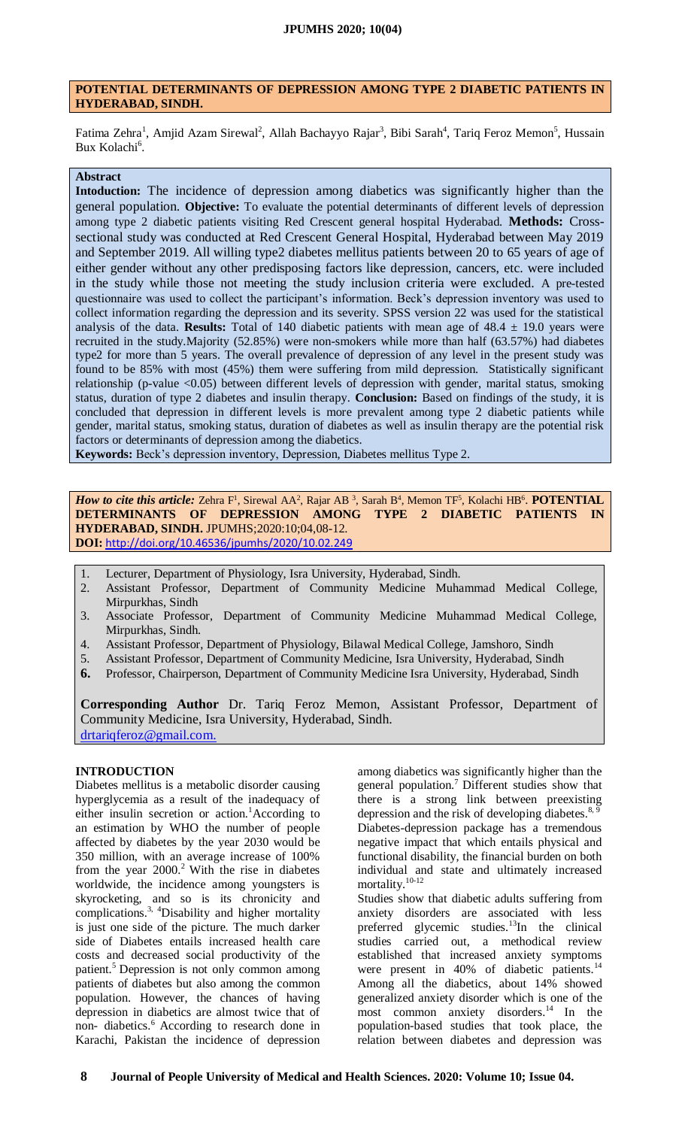# **POTENTIAL DETERMINANTS OF DEPRESSION AMONG TYPE 2 DIABETIC PATIENTS IN HYDERABAD, SINDH.**

Fatima Zehra<sup>1</sup>, Amjid Azam Sirewal<sup>2</sup>, Allah Bachayyo Rajar<sup>3</sup>, Bibi Sarah<sup>4</sup>, Tariq Feroz Memon<sup>5</sup>, Hussain Bux Kolachi<sup>6</sup>.

### **Abstract**

**Intoduction:** The incidence of depression among diabetics was significantly higher than the general population. **Objective:** To evaluate the potential determinants of different levels of depression among type 2 diabetic patients visiting Red Crescent general hospital Hyderabad. **Methods:** Crosssectional study was conducted at Red Crescent General Hospital, Hyderabad between May 2019 and September 2019. All willing type2 diabetes mellitus patients between 20 to 65 years of age of either gender without any other predisposing factors like depression, cancers, etc. were included in the study while those not meeting the study inclusion criteria were excluded. A pre-tested questionnaire was used to collect the participant's information. Beck's depression inventory was used to collect information regarding the depression and its severity. SPSS version 22 was used for the statistical analysis of the data. **Results:** Total of 140 diabetic patients with mean age of  $48.4 \pm 19.0$  years were recruited in the study.Majority (52.85%) were non-smokers while more than half (63.57%) had diabetes type2 for more than 5 years. The overall prevalence of depression of any level in the present study was found to be 85% with most (45%) them were suffering from mild depression. Statistically significant relationship (p-value <0.05) between different levels of depression with gender, marital status, smoking status, duration of type 2 diabetes and insulin therapy. **Conclusion:** Based on findings of the study, it is concluded that depression in different levels is more prevalent among type 2 diabetic patients while gender, marital status, smoking status, duration of diabetes as well as insulin therapy are the potential risk factors or determinants of depression among the diabetics.

**Keywords:** Beck's depression inventory, Depression, Diabetes mellitus Type 2.

*How to cite this article: Zehra* F<sup>1</sup>, Sirewal AA<sup>2</sup>, Rajar AB<sup>3</sup>, Sarah B<sup>4</sup>, Memon TF<sup>5</sup>, Kolachi HB<sup>6</sup>. **POTENTIAL DETERMINANTS OF DEPRESSION AMONG TYPE 2 DIABETIC PATIENTS IN HYDERABAD, SINDH.** JPUMHS;2020:10;04,08-12. **DOI:** <http://doi.org/10.46536/jpumhs/2020/10.02.249>

- 1. Lecturer, Department of Physiology, Isra University, Hyderabad, Sindh.
- 2. Assistant Professor, Department of Community Medicine Muhammad Medical College, Mirpurkhas, Sindh
- 3. Associate Professor, Department of Community Medicine Muhammad Medical College, Mirpurkhas, Sindh.
- 4. Assistant Professor, Department of Physiology, Bilawal Medical College, Jamshoro, Sindh
- 5. Assistant Professor, Department of Community Medicine, Isra University, Hyderabad, Sindh
- **6.** Professor, Chairperson, Department of Community Medicine Isra University, Hyderabad, Sindh

**Corresponding Author** Dr. Tariq Feroz Memon, Assistant Professor, Department of Community Medicine, Isra University, Hyderabad, Sindh. [drtariqferoz@gmail.com.](mailto:drtariqferoz@gmail.com)

# **INTRODUCTION**

Diabetes mellitus is a metabolic disorder causing hyperglycemia as a result of the inadequacy of either insulin secretion or action.<sup>1</sup>[A](#page-4-0)ccording to an estimation by WHO the number of people affected by diabetes by the year 2030 would be 350 million, with an average increase of 100% from the year  $2000$ [.](#page-4-1)<sup>2</sup> With the rise in diabetes worldwide, the incidence among youngsters is skyrocketing, and so is its chronicity and complications.<sup>[3,](#page-4-2) [4](#page-4-3)</sup>Disability and higher mortality is just one side of the picture. The much darker side of Diabetes entails increased health care costs and decreased social productivity of the patient.<sup>[5](#page-4-4)</sup> Depression is not only common among patients of diabetes but also among the common population. However, the chances of having depression in diabetics are almost twice that of non-diabetics.<sup>[6](#page-4-5)</sup> According to research done in Karachi, Pakistan the incidence of depression among diabetics was significantly higher than the general population.[7](#page-4-6) Different studies show that there is a strong link between preexisting depression and the risk of developing diabetes. $8$ , Diabetes-depression package has a tremendous negative impact that which entails physical and functional disability, the financial burden on both individual and state and ultimately increased mortality.<sup>[10-12](#page-4-9)</sup>

Studies show that diabetic adults suffering from anxiety disorders are associated with less preferred glycemic studies.<sup>[13](#page-4-10)</sup>In the clinical studies carried out, a methodical review established that increased anxiety symptoms were present in 40% of diabetic patients.<sup>[14](#page-4-11)</sup> Among all the diabetics, about 14% showed generalized anxiety disorder which is one of the most common anxiety disorders.<sup>[14](#page-4-11)</sup> In the population-based studies that took place, the relation between diabetes and depression was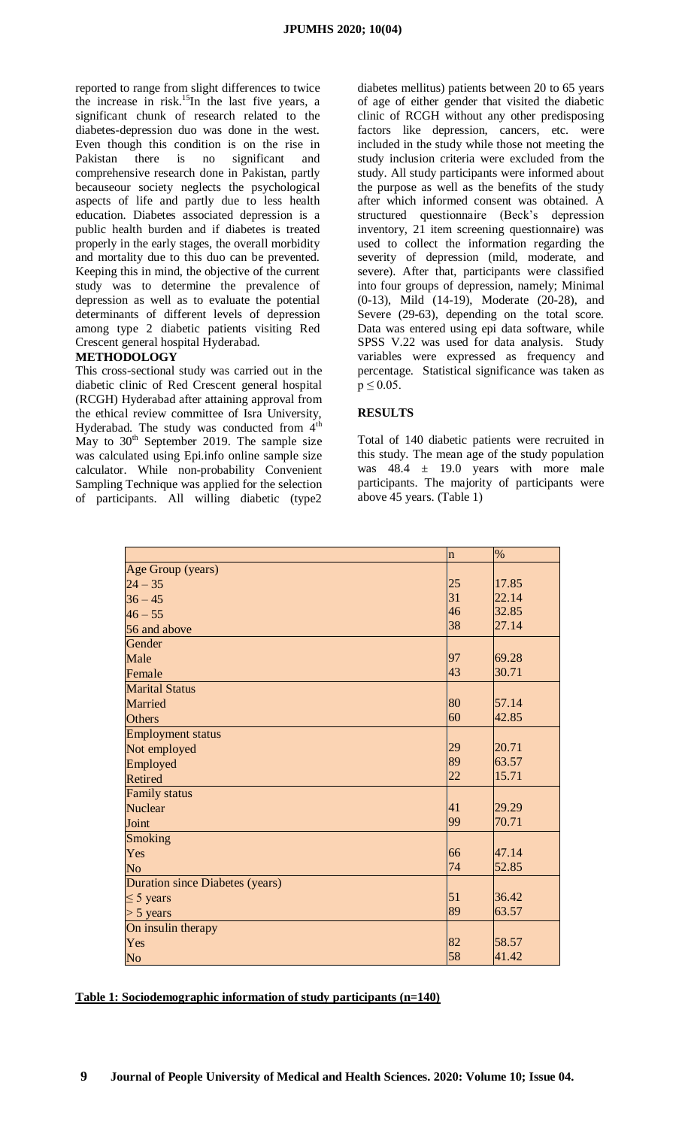reported to range from slight differences to twice the increase in risk.<sup>[15](#page-4-12)</sup>In the last five years, a significant chunk of research related to the diabetes-depression duo was done in the west. Even though this condition is on the rise in Pakistan there is no significant and comprehensive research done in Pakistan, partly becauseour society neglects the psychological aspects of life and partly due to less health education. Diabetes associated depression is a public health burden and if diabetes is treated properly in the early stages, the overall morbidity and mortality due to this duo can be prevented. Keeping this in mind, the objective of the current study was to determine the prevalence of depression as well as to evaluate the potential determinants of different levels of depression among type 2 diabetic patients visiting Red Crescent general hospital Hyderabad.

## **METHODOLOGY**

This cross-sectional study was carried out in the diabetic clinic of Red Crescent general hospital (RCGH) Hyderabad after attaining approval from the ethical review committee of Isra University, Hyderabad. The study was conducted from  $4<sup>th</sup>$ May to  $30<sup>th</sup>$  September 2019. The sample size was calculated using Epi.info online sample size calculator. While non-probability Convenient Sampling Technique was applied for the selection of participants. All willing diabetic (type2

diabetes mellitus) patients between 20 to 65 years of age of either gender that visited the diabetic clinic of RCGH without any other predisposing factors like depression, cancers, etc. were included in the study while those not meeting the study inclusion criteria were excluded from the study. All study participants were informed about the purpose as well as the benefits of the study after which informed consent was obtained. A structured questionnaire (Beck's depression inventory, 21 item screening questionnaire) was used to collect the information regarding the severity of depression (mild, moderate, and severe). After that, participants were classified into four groups of depression, namely; Minimal (0-13), Mild (14-19), Moderate (20-28), and Severe  $(29-63)$ , depending on the total score. Data was entered using epi data software, while SPSS V.22 was used for data analysis. Study variables were expressed as frequency and percentage. Statistical significance was taken as  $p \le 0.05$ .

## **RESULTS**

Total of 140 diabetic patients were recruited in this study. The mean age of the study population was  $48.4 \pm 19.0$  years with more male participants. The majority of participants were above 45 years. (Table 1)

|                                        | $\ln$ | $\%$  |
|----------------------------------------|-------|-------|
| Age Group (years)                      |       |       |
| $24 - 35$                              | 25    | 17.85 |
| $36 - 45$                              | 31    | 22.14 |
| $46 - 55$                              | 46    | 32.85 |
| 56 and above                           | 38    | 27.14 |
| Gender                                 |       |       |
| Male                                   | 97    | 69.28 |
| Female                                 | 43    | 30.71 |
| <b>Marital Status</b>                  |       |       |
| <b>Married</b>                         | 80    | 57.14 |
| <b>Others</b>                          | 60    | 42.85 |
| <b>Employment status</b>               |       |       |
| Not employed                           | 29    | 20.71 |
| Employed                               | 89    | 63.57 |
| Retired                                | 22    | 15.71 |
| <b>Family status</b>                   |       |       |
| <b>Nuclear</b>                         | 41    | 29.29 |
| Joint                                  | 99    | 70.71 |
| Smoking                                |       |       |
| Yes                                    | 66    | 47.14 |
| N <sub>o</sub>                         | 74    | 52.85 |
| <b>Duration since Diabetes (years)</b> |       |       |
| $\leq$ 5 years                         | 51    | 36.42 |
| $> 5$ years                            | 89    | 63.57 |
| On insulin therapy                     |       |       |
| Yes                                    | 82    | 58.57 |
| N <sub>o</sub>                         | 58    | 41.42 |

### **Table 1: Sociodemographic information of study participants (n=140)**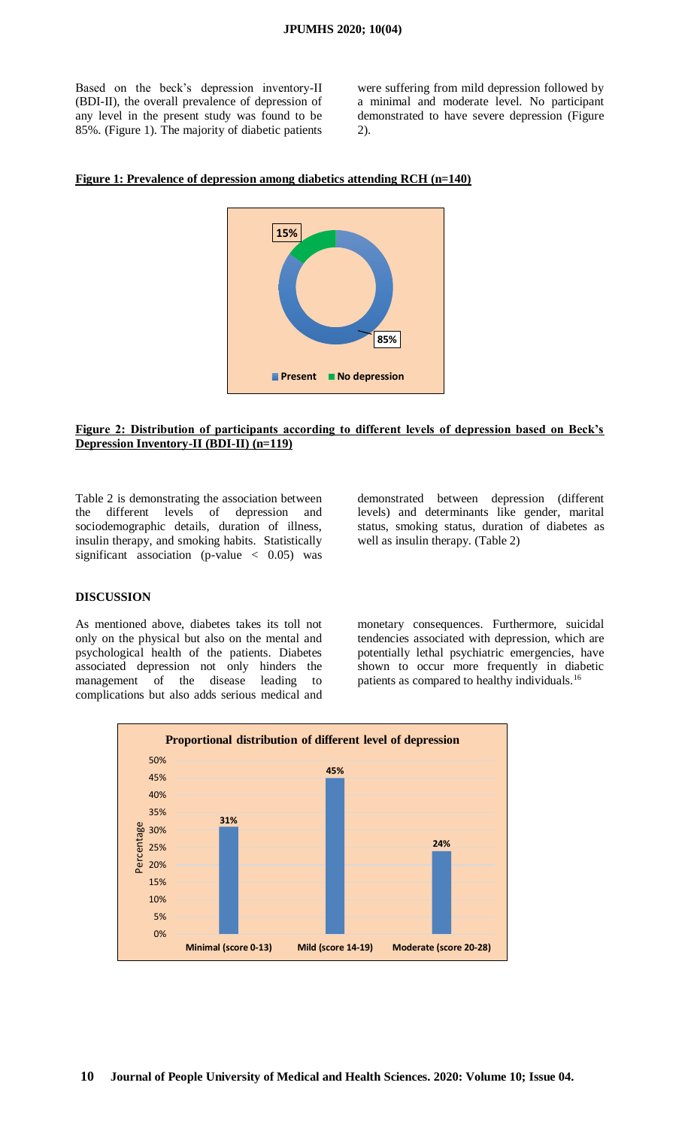Based on the beck's depression inventory-II (BDI-II), the overall prevalence of depression of any level in the present study was found to be 85%. (Figure 1). The majority of diabetic patients were suffering from mild depression followed by a minimal and moderate level. No participant demonstrated to have severe depression (Figure 2).

#### **Figure 1: Prevalence of depression among diabetics attending RCH (n=140)**



#### **Figure 2: Distribution of participants according to different levels of depression based on Beck's Depression Inventory-II (BDI-II) (n=119)**

Table 2 is demonstrating the association between the different levels of depression and sociodemographic details, duration of illness, insulin therapy, and smoking habits. Statistically significant association (p-value  $\langle 0.05 \rangle$  was

demonstrated between depression (different levels) and determinants like gender, marital status, smoking status, duration of diabetes as well as insulin therapy. (Table 2)

#### **DISCUSSION**

As mentioned above, diabetes takes its toll not only on the physical but also on the mental and psychological health of the patients. Diabetes associated depression not only hinders the management of the disease leading to complications but also adds serious medical and

monetary consequences. Furthermore, suicidal tendencies associated with depression, which are potentially lethal psychiatric emergencies, have shown to occur more frequently in diabetic patients as compared to healthy individuals.<sup>[16](#page-4-13)</sup>

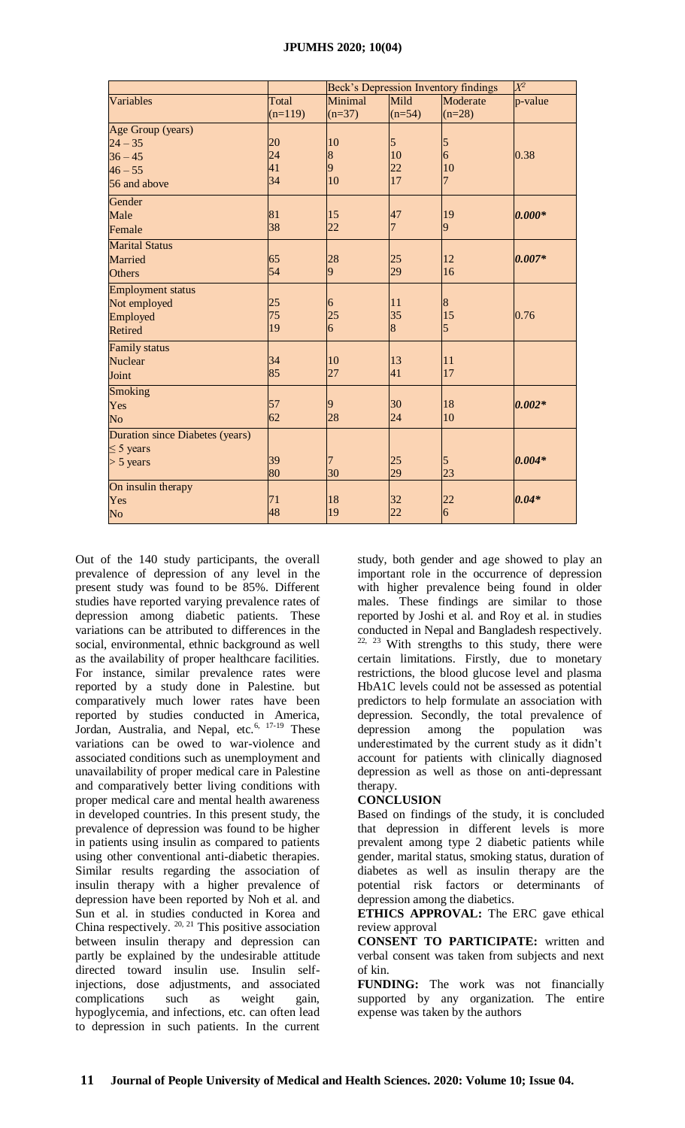|                                        | $\overline{\mathcal{X}}{}^{2}$<br>Beck's Depression Inventory findings |                |                |                |          |
|----------------------------------------|------------------------------------------------------------------------|----------------|----------------|----------------|----------|
| Variables                              | Total                                                                  | Minimal        | Mild           | Moderate       | p-value  |
|                                        | $(n=119)$                                                              | $(n=37)$       | $(n=54)$       | $(n=28)$       |          |
| Age Group (years)                      |                                                                        |                |                |                |          |
| $24 - 35$                              | 20                                                                     | 10             | 5              | 5              |          |
| $36 - 45$                              | 24                                                                     | $\overline{8}$ | 10             | $\overline{6}$ | 0.38     |
| $46 - 55$                              | 41                                                                     | 9              | 22             | 10             |          |
| 56 and above                           | 34                                                                     | 10             | 17             | $\overline{7}$ |          |
| Gender                                 |                                                                        |                |                |                |          |
| Male                                   | 81                                                                     | 15             | 47             | 19             | $0.000*$ |
| Female                                 | 38                                                                     | 22             | $\overline{7}$ | 9              |          |
| <b>Marital Status</b>                  |                                                                        |                |                |                |          |
| Married                                | 65                                                                     | 28             | 25             | 12             | $0.007*$ |
| <b>Others</b>                          | 54                                                                     | $\overline{9}$ | 29             | 16             |          |
| <b>Employment status</b>               |                                                                        |                |                |                |          |
| Not employed                           | 25                                                                     | 6              | 11             | 8              |          |
| Employed                               | 75                                                                     | 25             | 35             | 15             | 0.76     |
| <b>Retired</b>                         | 19                                                                     | $\overline{6}$ | $\overline{8}$ | $\overline{5}$ |          |
| <b>Family status</b>                   |                                                                        |                |                |                |          |
| <b>Nuclear</b>                         | 34                                                                     | 10             | $ 13\rangle$   | 11             |          |
| Joint                                  | 85                                                                     | 27             | 41             | 17             |          |
| <b>Smoking</b>                         |                                                                        |                |                |                |          |
| Yes                                    | 57                                                                     | 9              | 30             | 18             | $0.002*$ |
| N <sub>o</sub>                         | 62                                                                     | 28             | 24             | 10             |          |
| <b>Duration since Diabetes (years)</b> |                                                                        |                |                |                |          |
| $\leq$ 5 years                         |                                                                        |                |                |                |          |
| $> 5$ years                            | 39                                                                     | 7              | 25             | 5              | $0.004*$ |
|                                        | 80                                                                     | 30             | 29             | 23             |          |
| On insulin therapy                     |                                                                        |                |                |                |          |
| Yes                                    | 71                                                                     | 18             | 32             | $\frac{22}{6}$ | $0.04*$  |
| No                                     | 48                                                                     | 19             | 22             |                |          |

Out of the 140 study participants, the overall prevalence of depression of any level in the present study was found to be 85%. Different studies have reported varying prevalence rates of depression among diabetic patients. These variations can be attributed to differences in the social, environmental, ethnic background as well as the availability of proper healthcare facilities. For instance, similar prevalence rates were reported by a study done in Palestine. but comparatively much lower rates have been reported by studies conducted in America, Jordan, Australia, and Nepal, etc.<sup>[6,](#page-4-5) [17-19](#page-4-14)</sup> These variations can be owed to war-violence and associated conditions such as unemployment and unavailability of proper medical care in Palestine and comparatively better living conditions with proper medical care and mental health awareness in developed countries. In this present study, the prevalence of depression was found to be higher in patients using insulin as compared to patients using other conventional anti-diabetic therapies. Similar results regarding the association of insulin therapy with a higher prevalence of depression have been reported by Noh et al. and Sun et al. in studies conducted in Korea and China respectively.  $20, 21$  $20, 21$  This positive association between insulin therapy and depression can partly be explained by the undesirable attitude directed toward insulin use. Insulin selfinjections, dose adjustments, and associated complications such as weight gain, hypoglycemia, and infections, etc. can often lead to depression in such patients. In the current

study, both gender and age showed to play an important role in the occurrence of depression with higher prevalence being found in older males. These findings are similar to those reported by Joshi et al. and Roy et al. in studies conducted in Nepal and Bangladesh respectively.  $22, 23$  $22, 23$  With strengths to this study, there were certain limitations. Firstly, due to monetary restrictions, the blood glucose level and plasma HbA1C levels could not be assessed as potential predictors to help formulate an association with depression. Secondly, the total prevalence of depression among the population was underestimated by the current study as it didn't account for patients with clinically diagnosed depression as well as those on anti-depressant therapy.

### **CONCLUSION**

Based on findings of the study, it is concluded that depression in different levels is more prevalent among type 2 diabetic patients while gender, marital status, smoking status, duration of diabetes as well as insulin therapy are the potential risk factors or determinants of depression among the diabetics.

**ETHICS APPROVAL:** The ERC gave ethical review approval

**CONSENT TO PARTICIPATE:** written and verbal consent was taken from subjects and next of kin.

**FUNDING:** The work was not financially supported by any organization. The entire expense was taken by the authors